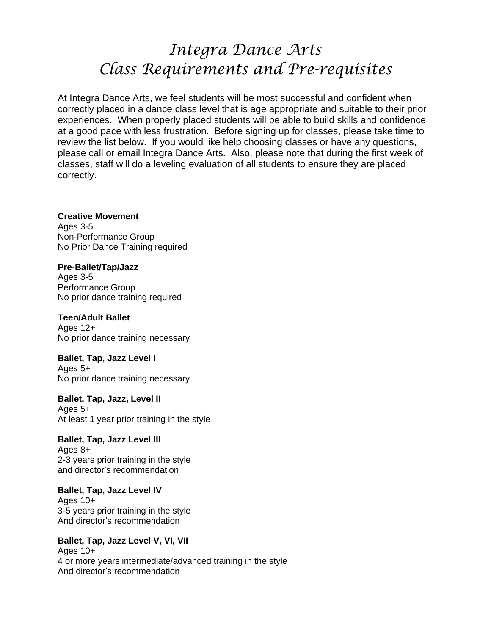# *Integra Dance Arts Class Requirements and Pre-requisites*

At Integra Dance Arts, we feel students will be most successful and confident when correctly placed in a dance class level that is age appropriate and suitable to their prior experiences. When properly placed students will be able to build skills and confidence at a good pace with less frustration. Before signing up for classes, please take time to review the list below. If you would like help choosing classes or have any questions, please call or email Integra Dance Arts. Also, please note that during the first week of classes, staff will do a leveling evaluation of all students to ensure they are placed correctly.

**Creative Movement** Ages 3-5 Non-Performance Group No Prior Dance Training required

**Pre-Ballet/Tap/Jazz** Ages 3-5 Performance Group No prior dance training required

**Teen/Adult Ballet** Ages  $12+$ No prior dance training necessary

**Ballet, Tap, Jazz Level I** Ages 5+ No prior dance training necessary

**Ballet, Tap, Jazz, Level II** Ages 5+ At least 1 year prior training in the style

**Ballet, Tap, Jazz Level III** Ages 8+ 2-3 years prior training in the style and director's recommendation

**Ballet, Tap, Jazz Level IV** Ages 10+ 3-5 years prior training in the style And director's recommendation

**Ballet, Tap, Jazz Level V, VI, VII** Ages 10+ 4 or more years intermediate/advanced training in the style And director's recommendation